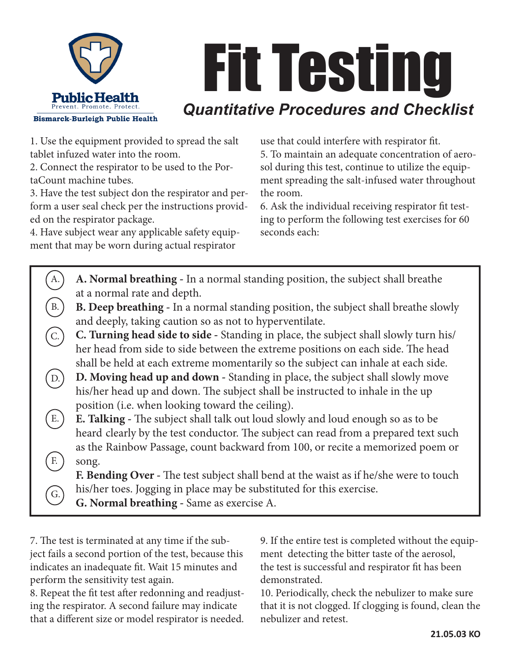

## Fit Testing *Quantitative Procedures and Checklist*

1. Use the equipment provided to spread the salt tablet infuzed water into the room.

2. Connect the respirator to be used to the PortaCount machine tubes.

3. Have the test subject don the respirator and perform a user seal check per the instructions provided on the respirator package.

4. Have subject wear any applicable safety equipment that may be worn during actual respirator

use that could interfere with respirator fit.

5. To maintain an adequate concentration of aerosol during this test, continue to utilize the equipment spreading the salt-infused water throughout the room.

6. Ask the individual receiving respirator fit testing to perform the following test exercises for 60 seconds each:

|           | A. Normal breathing - In a normal standing position, the subject shall breathe         |
|-----------|----------------------------------------------------------------------------------------|
|           | at a normal rate and depth.                                                            |
| <b>B.</b> | B. Deep breathing - In a normal standing position, the subject shall breathe slowly    |
|           | and deeply, taking caution so as not to hyperventilate.                                |
|           | C. Turning head side to side - Standing in place, the subject shall slowly turn his/   |
|           | her head from side to side between the extreme positions on each side. The head        |
|           | shall be held at each extreme momentarily so the subject can inhale at each side.      |
|           | D. Moving head up and down - Standing in place, the subject shall slowly move          |
|           | his/her head up and down. The subject shall be instructed to inhale in the up          |
|           | position (i.e. when looking toward the ceiling).                                       |
| Е.        | <b>E. Talking</b> - The subject shall talk out loud slowly and loud enough so as to be |
|           | heard clearly by the test conductor. The subject can read from a prepared text such    |
|           | as the Rainbow Passage, count backward from 100, or recite a memorized poem or         |
| F.        | song.                                                                                  |
|           | F. Bending Over - The test subject shall bend at the waist as if he/she were to touch  |
|           | his/her toes. Jogging in place may be substituted for this exercise.                   |
| G.        | G. Normal breathing - Same as exercise A.                                              |

7. The test is terminated at any time if the subject fails a second portion of the test, because this indicates an inadequate fit. Wait 15 minutes and perform the sensitivity test again.

8. Repeat the fit test after redonning and readjusting the respirator. A second failure may indicate that a different size or model respirator is needed. 9. If the entire test is completed without the equipment detecting the bitter taste of the aerosol, the test is successful and respirator fit has been demonstrated.

10. Periodically, check the nebulizer to make sure that it is not clogged. If clogging is found, clean the nebulizer and retest.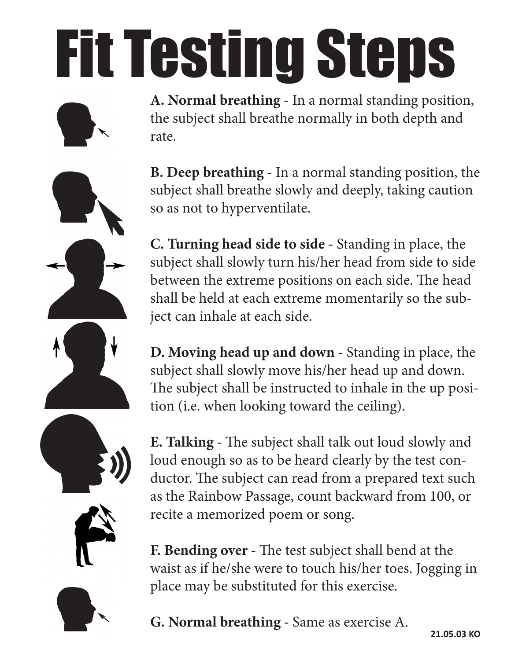## Fit Testing Steps

**A. Normal breathing -** In a normal standing position, the subject shall breathe normally in both depth and rate.

**B. Deep breathing -** In a normal standing position, the subject shall breathe slowly and deeply, taking caution so as not to hyperventilate.

**C. Turning head side to side -** Standing in place, the subject shall slowly turn his/her head from side to side between the extreme positions on each side. The head shall be held at each extreme momentarily so the subject can inhale at each side.

**D. Moving head up and down -** Standing in place, the subject shall slowly move his/her head up and down. The subject shall be instructed to inhale in the up position (i.e. when looking toward the ceiling).

**E. Talking -** The subject shall talk out loud slowly and loud enough so as to be heard clearly by the test conductor. The subject can read from a prepared text such as the Rainbow Passage, count backward from 100, or recite a memorized poem or song.

**F. Bending over -** The test subject shall bend at the waist as if he/she were to touch his/her toes. Jogging in place may be substituted for this exercise.

## **G. Normal breathing -** Same as exercise A.